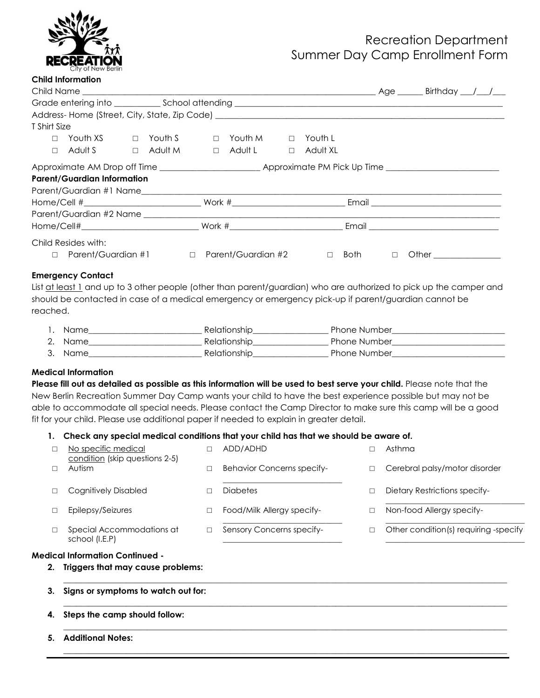

# Recreation Department Summer Day Camp Enrollment Form

| <b>Child Information</b>                  |                                                                                                                |                       |        |         |        |                 |  |  |  |
|-------------------------------------------|----------------------------------------------------------------------------------------------------------------|-----------------------|--------|---------|--------|-----------------|--|--|--|
|                                           |                                                                                                                |                       |        |         |        |                 |  |  |  |
|                                           |                                                                                                                |                       |        |         |        |                 |  |  |  |
|                                           |                                                                                                                |                       |        |         |        |                 |  |  |  |
| T Shirt Size                              |                                                                                                                |                       |        |         |        |                 |  |  |  |
| $\Box$                                    | Youth XS                                                                                                       | $\Box$ Youth S $\Box$ |        | Youth M | $\Box$ | Youth L         |  |  |  |
| $\Box$                                    | Adult S                                                                                                        | $\Box$ Adult M        | $\Box$ | Adult L |        | $\Box$ Adult XL |  |  |  |
|                                           | Approximate AM Drop off Time _______________________________Approximate PM Pick Up Time ______________________ |                       |        |         |        |                 |  |  |  |
|                                           | <b>Parent/Guardian Information</b>                                                                             |                       |        |         |        |                 |  |  |  |
|                                           |                                                                                                                |                       |        |         |        |                 |  |  |  |
|                                           |                                                                                                                |                       |        |         |        |                 |  |  |  |
|                                           |                                                                                                                |                       |        |         |        |                 |  |  |  |
|                                           |                                                                                                                |                       |        |         |        |                 |  |  |  |
| Child Resides with:                       |                                                                                                                |                       |        |         |        |                 |  |  |  |
| □ Parent/Guardian #1 □ Parent/Guardian #2 |                                                                                                                |                       |        | $\Box$  | Both □ |                 |  |  |  |
| <b>Emergency Contact</b>                  |                                                                                                                |                       |        |         |        |                 |  |  |  |

List at least 1 and up to 3 other people (other than parent/guardian) who are authorized to pick up the camper and should be contacted in case of a medical emergency or emergency pick-up if parent/guardian cannot be reached.

| Name    | Relationship | <b>Phone Number</b> |
|---------|--------------|---------------------|
| 2. Name | Relationship | <b>Phone Number</b> |
| 3. Name | Relationship | <b>Phone Number</b> |

#### **Medical Information**

**Please fill out as detailed as possible as this information will be used to best serve your child.** Please note that the New Berlin Recreation Summer Day Camp wants your child to have the best experience possible but may not be able to accommodate all special needs. Please contact the Camp Director to make sure this camp will be a good fit for your child. Please use additional paper if needed to explain in greater detail.

#### **1. Check any special medical conditions that your child has that we should be aware of.**

|    | No specific medical<br>condition (skip questions 2-5) | П | ADD/ADHD                          | П      | Asthma                                |
|----|-------------------------------------------------------|---|-----------------------------------|--------|---------------------------------------|
|    | Autism                                                | □ | <b>Behavior Concerns specify-</b> | □      | Cerebral palsy/motor disorder         |
|    | Cognitively Disabled                                  | □ | <b>Diabetes</b>                   | $\Box$ | Dietary Restrictions specify-         |
|    | Epilepsy/Seizures                                     | □ | Food/Milk Allergy specify-        | □      | Non-food Allergy specify-             |
|    | Special Accommodations at<br>school (I.E.P)           | □ | Sensory Concerns specify-         | □      | Other condition(s) requiring -specify |
|    | Medical Information Continued -                       |   |                                   |        |                                       |
| 2. | Triggers that may cause problems:                     |   |                                   |        |                                       |
| 3. | Signs or symptoms to watch out for:                   |   |                                   |        |                                       |
| 4. | Steps the camp should follow:                         |   |                                   |        |                                       |
| 5. | <b>Additional Notes:</b>                              |   |                                   |        |                                       |
|    |                                                       |   |                                   |        |                                       |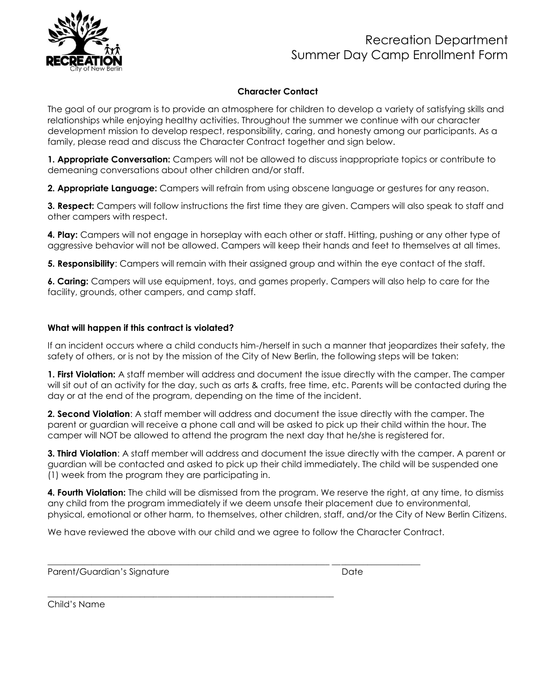

### **Character Contact**

The goal of our program is to provide an atmosphere for children to develop a variety of satisfying skills and relationships while enjoying healthy activities. Throughout the summer we continue with our character development mission to develop respect, responsibility, caring, and honesty among our participants. As a family, please read and discuss the Character Contract together and sign below.

**1. Appropriate Conversation:** Campers will not be allowed to discuss inappropriate topics or contribute to demeaning conversations about other children and/or staff.

**2. Appropriate Language:** Campers will refrain from using obscene language or gestures for any reason.

**3. Respect:** Campers will follow instructions the first time they are given. Campers will also speak to staff and other campers with respect.

**4. Play:** Campers will not engage in horseplay with each other or staff. Hitting, pushing or any other type of aggressive behavior will not be allowed. Campers will keep their hands and feet to themselves at all times.

**5. Responsibility**: Campers will remain with their assigned group and within the eye contact of the staff.

**6. Caring:** Campers will use equipment, toys, and games properly. Campers will also help to care for the facility, grounds, other campers, and camp staff.

### **What will happen if this contract is violated?**

If an incident occurs where a child conducts him-/herself in such a manner that jeopardizes their safety, the safety of others, or is not by the mission of the City of New Berlin, the following steps will be taken:

**1. First Violation:** A staff member will address and document the issue directly with the camper. The camper will sit out of an activity for the day, such as arts & crafts, free time, etc. Parents will be contacted during the day or at the end of the program, depending on the time of the incident.

**2. Second Violation**: A staff member will address and document the issue directly with the camper. The parent or guardian will receive a phone call and will be asked to pick up their child within the hour. The camper will NOT be allowed to attend the program the next day that he/she is registered for.

**3. Third Violation**: A staff member will address and document the issue directly with the camper. A parent or guardian will be contacted and asked to pick up their child immediately. The child will be suspended one (1) week from the program they are participating in.

**4. Fourth Violation:** The child will be dismissed from the program. We reserve the right, at any time, to dismiss any child from the program immediately if we deem unsafe their placement due to environmental, physical, emotional or other harm, to themselves, other children, staff, and/or the City of New Berlin Citizens.

We have reviewed the above with our child and we agree to follow the Character Contract.

 $\frac{1}{2}$  ,  $\frac{1}{2}$  ,  $\frac{1}{2}$  ,  $\frac{1}{2}$  ,  $\frac{1}{2}$  ,  $\frac{1}{2}$  ,  $\frac{1}{2}$  ,  $\frac{1}{2}$  ,  $\frac{1}{2}$  ,  $\frac{1}{2}$  ,  $\frac{1}{2}$  ,  $\frac{1}{2}$  ,  $\frac{1}{2}$  ,  $\frac{1}{2}$  ,  $\frac{1}{2}$  ,  $\frac{1}{2}$  ,  $\frac{1}{2}$  ,  $\frac{1}{2}$  ,  $\frac{1$ 

\_\_\_\_\_\_\_\_\_\_\_\_\_\_\_\_\_\_\_\_\_\_\_\_\_\_\_\_\_\_\_\_\_\_\_\_\_\_\_\_\_\_\_\_\_\_\_\_\_\_\_\_\_\_\_\_\_\_\_\_\_\_\_\_\_

Parent/Guardian's Signature **Date** Date Date

Child's Name